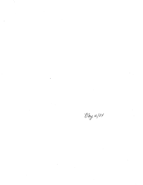$\hat{\mathcal{A}}$ 

 $\hat{\boldsymbol{\beta}}$ 

 $\label{eq:2.1} \frac{1}{\sqrt{2}}\int_{0}^{\infty}\frac{1}{\sqrt{2\pi}}\left(\frac{1}{\sqrt{2\pi}}\right)^{2}e^{-\frac{1}{2}\left(\frac{1}{\sqrt{2\pi}}\right)}\frac{1}{\sqrt{2\pi}}\int_{0}^{\infty}\frac{1}{\sqrt{2\pi}}\frac{e^{-\frac{1}{2}\left(\frac{1}{\sqrt{2\pi}}\right)}}{\sqrt{2\pi}}\frac{e^{-\frac{1}{2}\left(\frac{1}{\sqrt{2\pi}}\right)}}{e^{-\frac{1}{2}\left(\frac{1}{\sqrt{2\pi}}\right)}}\frac{e^{-\frac{1}{2}\left$  $\mathcal{A}^{\mathcal{A}}$ 

 $\mathcal{A}^{(1)}$ 

Day 16/84

 $\frac{1}{2}$  ,  $\frac{1}{2}$ 

 $\mathcal{L}(\mathcal{L}(\mathcal{L}))$  and  $\mathcal{L}(\mathcal{L}(\mathcal{L}))$  . The contribution of the contribution of  $\mathcal{L}(\mathcal{L})$  $\sim$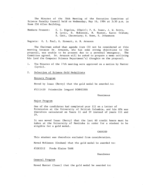The Minutes of the 78th Meeting of the Executive Committee of Science Faculty Council held on Wednesday, May 16, 1984 at 3:30 p.m. in Room 250 Allen Building.

Members Present: C. C. Bigelow, (Chair); P. K. Isaac, J. W. Berry, R. Lyric, D. McKinnon, N. Hunter, Karen Graham; S. Catt, (Secretary; H. Rowe, S. Johannson

Regrets: G. I. Paul, K. Stewart, A. N. Arnason

The Chairman asked that agenda item (3) not be considered at this meeting because Dr. Arnason, who has some strong objections to the proposal, was unable to be present due to a personal emergency. The Committee agreed. Dr. Arnason will be asked to prepare a memo outlining his (and the Computer Science Department's) thoughts on the proposal.

 $1.$ The Minutes of the 77th meeting were approved on a motion by Hunter (Lyric).

 $2.$ Selection of Science Gold Medallists

#### Honours Program

Moved by Isaac (Berry) that the gold medal be awarded.to:

#5311430 Friederike Irmgard SCHNEIDER

Unanimous

#### Major Program

One of the candidates had completed year III on a Letter of Permission at the University of British Columbia, and his GPA was therefore calculated on Years II and IV instead of years III and IV.

It was moved Isaac (Berry) that the last 60 credit hours must be taken at the University of Manitoba in order for a student to be eligible for a gold medal.

## **CARRIED**

This student was therefore excluded from consideration.

Moved McKinnon (Graham) that the gold medal be awarded to:

#5303312 Freda Elaine TARR

Unanimous

# General Program

Moved Hunter (Isaac) that the gold medal be awarded to: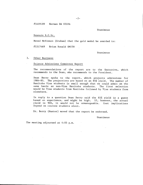#5409189 Herman DA SILVA

Unanimous

### Honours B.C.Sc.

Moved McKinnon (Graham) that the gold medal be awarded to:

#5317469 Brian Ronald SMITH

Unanimous

## 3. Other Business

 $\bar{A}$ 

## Science Admissions Committee Report

The recommendations of the report are to the Executive, which recommends to the Dean, who recommends to the President.

Dean Berry spoke to the report, which projects admissions for 1984-85. The projections are based on an 85% yield. The number of Manitoba Visa students is small enough that we could admit on the same basis as non-Visa Manitoba students. The first selection would be Visa students from Manitoba followed by Visa students from elsewhere.

In reply to a question Dean Berry said the 85% yield is a guess based on experience, and might be high. If, however, the actual yield is 90%, it would not be unmanageable. Cost implications depend on courses students elect.

Dr. Berry (Hunter) moved that the report be endorsed.

Unanimous

The meeting adjourned at 4:05 p.m.